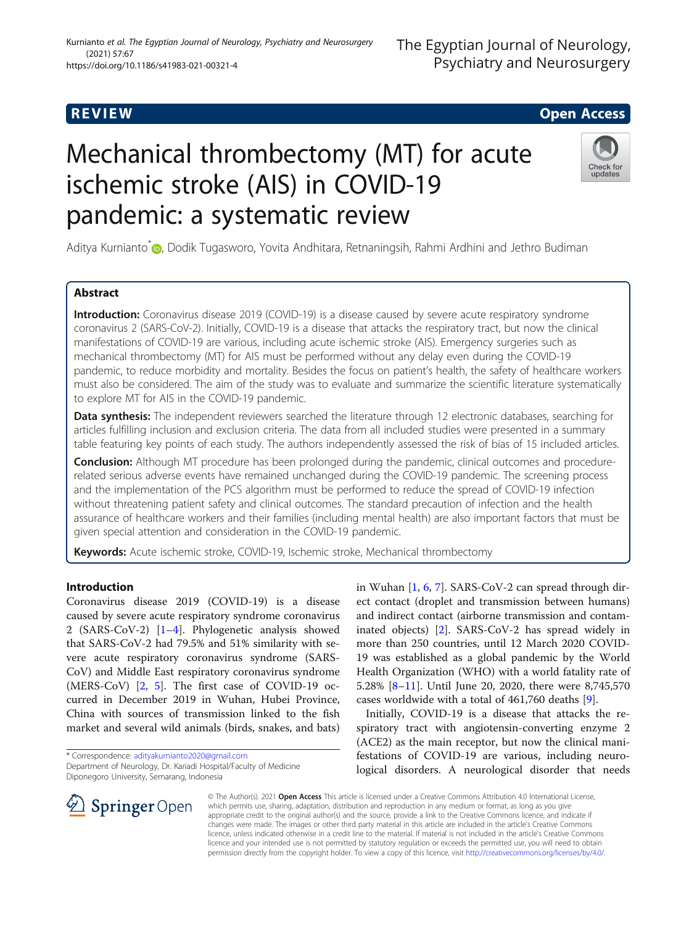# **REVIEW CONSTRUCTION CONSTRUCTION CONSTRUCTS**

# Mechanical thrombectomy (MT) for acute ischemic stroke (AIS) in COVID-19 pandemic: a systematic review



Aditya Kurnianto<sup>[\\*](http://orcid.org/0000-0003-1463-1623)</sup> , Dodik Tugasworo, Yovita Andhitara, Retnaningsih, Rahmi Ardhini and Jethro Budiman

# Abstract

Introduction: Coronavirus disease 2019 (COVID-19) is a disease caused by severe acute respiratory syndrome coronavirus 2 (SARS-CoV-2). Initially, COVID-19 is a disease that attacks the respiratory tract, but now the clinical manifestations of COVID-19 are various, including acute ischemic stroke (AIS). Emergency surgeries such as mechanical thrombectomy (MT) for AIS must be performed without any delay even during the COVID-19 pandemic, to reduce morbidity and mortality. Besides the focus on patient's health, the safety of healthcare workers must also be considered. The aim of the study was to evaluate and summarize the scientific literature systematically to explore MT for AIS in the COVID-19 pandemic.

Data synthesis: The independent reviewers searched the literature through 12 electronic databases, searching for articles fulfilling inclusion and exclusion criteria. The data from all included studies were presented in a summary table featuring key points of each study. The authors independently assessed the risk of bias of 15 included articles.

**Conclusion:** Although MT procedure has been prolonged during the pandemic, clinical outcomes and procedurerelated serious adverse events have remained unchanged during the COVID-19 pandemic. The screening process and the implementation of the PCS algorithm must be performed to reduce the spread of COVID-19 infection without threatening patient safety and clinical outcomes. The standard precaution of infection and the health assurance of healthcare workers and their families (including mental health) are also important factors that must be given special attention and consideration in the COVID-19 pandemic.

Keywords: Acute ischemic stroke, COVID-19, Ischemic stroke, Mechanical thrombectomy

# Introduction

Coronavirus disease 2019 (COVID-19) is a disease caused by severe acute respiratory syndrome coronavirus 2 (SARS-CoV-2) [\[1](#page-7-0)–[4\]](#page-7-0). Phylogenetic analysis showed that SARS-CoV-2 had 79.5% and 51% similarity with severe acute respiratory coronavirus syndrome (SARS-CoV) and Middle East respiratory coronavirus syndrome (MERS-CoV) [\[2](#page-7-0), [5\]](#page-7-0). The first case of COVID-19 occurred in December 2019 in Wuhan, Hubei Province, China with sources of transmission linked to the fish market and several wild animals (birds, snakes, and bats)

\* Correspondence: [adityakurnianto2020@gmail.com](mailto:adityakurnianto2020@gmail.com)

**Springer** Open



Initially, COVID-19 is a disease that attacks the respiratory tract with angiotensin-converting enzyme 2 (ACE2) as the main receptor, but now the clinical manifestations of COVID-19 are various, including neurological disorders. A neurological disorder that needs

© The Author(s). 2021 Open Access This article is licensed under a Creative Commons Attribution 4.0 International License, which permits use, sharing, adaptation, distribution and reproduction in any medium or format, as long as you give appropriate credit to the original author(s) and the source, provide a link to the Creative Commons licence, and indicate if changes were made. The images or other third party material in this article are included in the article's Creative Commons licence, unless indicated otherwise in a credit line to the material. If material is not included in the article's Creative Commons licence and your intended use is not permitted by statutory regulation or exceeds the permitted use, you will need to obtain permission directly from the copyright holder. To view a copy of this licence, visit <http://creativecommons.org/licenses/by/4.0/>.

Department of Neurology, Dr. Kariadi Hospital/Faculty of Medicine Diponegoro University, Semarang, Indonesia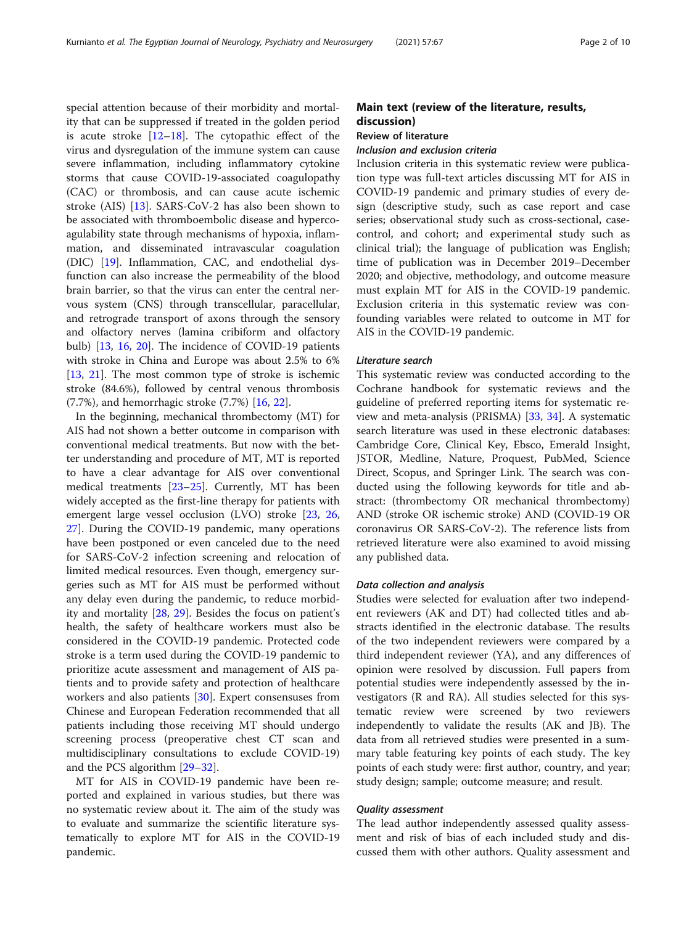special attention because of their morbidity and mortality that can be suppressed if treated in the golden period is acute stroke  $[12-18]$  $[12-18]$  $[12-18]$  $[12-18]$ . The cytopathic effect of the virus and dysregulation of the immune system can cause severe inflammation, including inflammatory cytokine storms that cause COVID-19-associated coagulopathy (CAC) or thrombosis, and can cause acute ischemic stroke (AIS) [\[13](#page-8-0)]. SARS-CoV-2 has also been shown to be associated with thromboembolic disease and hypercoagulability state through mechanisms of hypoxia, inflammation, and disseminated intravascular coagulation (DIC) [\[19\]](#page-8-0). Inflammation, CAC, and endothelial dysfunction can also increase the permeability of the blood brain barrier, so that the virus can enter the central nervous system (CNS) through transcellular, paracellular, and retrograde transport of axons through the sensory and olfactory nerves (lamina cribiform and olfactory bulb) [[13,](#page-8-0) [16](#page-8-0), [20](#page-8-0)]. The incidence of COVID-19 patients with stroke in China and Europe was about 2.5% to 6% [[13,](#page-8-0) [21\]](#page-8-0). The most common type of stroke is ischemic stroke (84.6%), followed by central venous thrombosis (7.7%), and hemorrhagic stroke (7.7%) [[16,](#page-8-0) [22\]](#page-8-0).

In the beginning, mechanical thrombectomy (MT) for AIS had not shown a better outcome in comparison with conventional medical treatments. But now with the better understanding and procedure of MT, MT is reported to have a clear advantage for AIS over conventional medical treatments [[23](#page-8-0)–[25](#page-8-0)]. Currently, MT has been widely accepted as the first-line therapy for patients with emergent large vessel occlusion (LVO) stroke [[23](#page-8-0), [26](#page-8-0), [27\]](#page-8-0). During the COVID-19 pandemic, many operations have been postponed or even canceled due to the need for SARS-CoV-2 infection screening and relocation of limited medical resources. Even though, emergency surgeries such as MT for AIS must be performed without any delay even during the pandemic, to reduce morbidity and mortality [[28,](#page-8-0) [29](#page-8-0)]. Besides the focus on patient's health, the safety of healthcare workers must also be considered in the COVID-19 pandemic. Protected code stroke is a term used during the COVID-19 pandemic to prioritize acute assessment and management of AIS patients and to provide safety and protection of healthcare workers and also patients [[30\]](#page-8-0). Expert consensuses from Chinese and European Federation recommended that all patients including those receiving MT should undergo screening process (preoperative chest CT scan and multidisciplinary consultations to exclude COVID-19) and the PCS algorithm [\[29](#page-8-0)–[32\]](#page-8-0).

MT for AIS in COVID-19 pandemic have been reported and explained in various studies, but there was no systematic review about it. The aim of the study was to evaluate and summarize the scientific literature systematically to explore MT for AIS in the COVID-19 pandemic.

# Main text (review of the literature, results, discussion)

# Review of literature

### Inclusion and exclusion criteria

Inclusion criteria in this systematic review were publication type was full-text articles discussing MT for AIS in COVID-19 pandemic and primary studies of every design (descriptive study, such as case report and case series; observational study such as cross-sectional, casecontrol, and cohort; and experimental study such as clinical trial); the language of publication was English; time of publication was in December 2019–December 2020; and objective, methodology, and outcome measure must explain MT for AIS in the COVID-19 pandemic. Exclusion criteria in this systematic review was confounding variables were related to outcome in MT for AIS in the COVID-19 pandemic.

# Literature search

This systematic review was conducted according to the Cochrane handbook for systematic reviews and the guideline of preferred reporting items for systematic review and meta-analysis (PRISMA) [\[33,](#page-8-0) [34](#page-8-0)]. A systematic search literature was used in these electronic databases: Cambridge Core, Clinical Key, Ebsco, Emerald Insight, JSTOR, Medline, Nature, Proquest, PubMed, Science Direct, Scopus, and Springer Link. The search was conducted using the following keywords for title and abstract: (thrombectomy OR mechanical thrombectomy) AND (stroke OR ischemic stroke) AND (COVID-19 OR coronavirus OR SARS-CoV-2). The reference lists from retrieved literature were also examined to avoid missing any published data.

### Data collection and analysis

Studies were selected for evaluation after two independent reviewers (AK and DT) had collected titles and abstracts identified in the electronic database. The results of the two independent reviewers were compared by a third independent reviewer (YA), and any differences of opinion were resolved by discussion. Full papers from potential studies were independently assessed by the investigators (R and RA). All studies selected for this systematic review were screened by two reviewers independently to validate the results (AK and JB). The data from all retrieved studies were presented in a summary table featuring key points of each study. The key points of each study were: first author, country, and year; study design; sample; outcome measure; and result.

# Quality assessment

The lead author independently assessed quality assessment and risk of bias of each included study and discussed them with other authors. Quality assessment and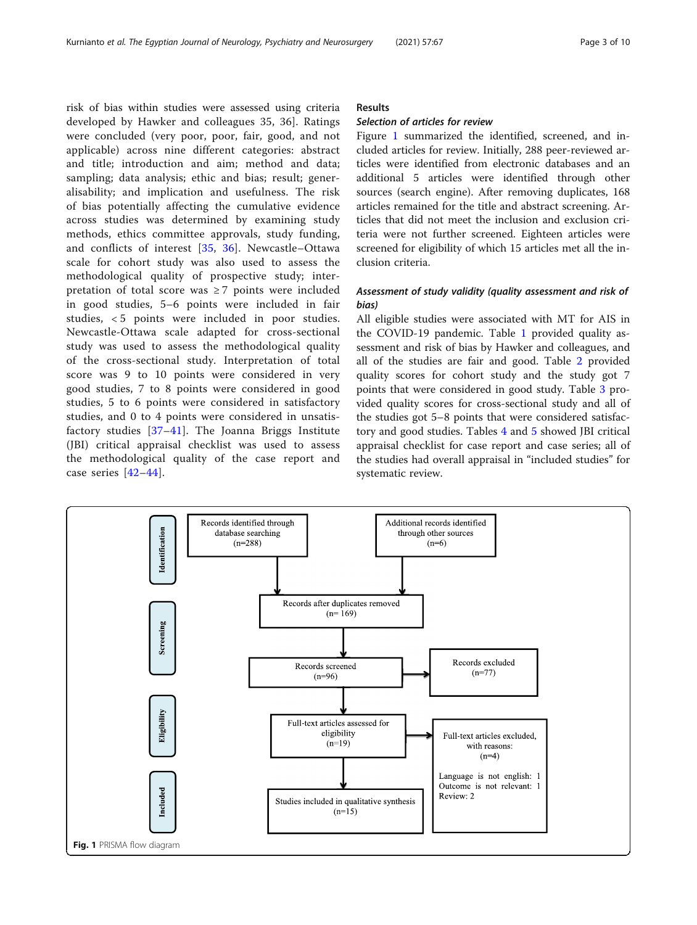risk of bias within studies were assessed using criteria developed by Hawker and colleagues 35, 36]. Ratings were concluded (very poor, poor, fair, good, and not applicable) across nine different categories: abstract and title; introduction and aim; method and data; sampling; data analysis; ethic and bias; result; generalisability; and implication and usefulness. The risk of bias potentially affecting the cumulative evidence across studies was determined by examining study methods, ethics committee approvals, study funding, and conflicts of interest [\[35,](#page-8-0) [36](#page-8-0)]. Newcastle–Ottawa scale for cohort study was also used to assess the methodological quality of prospective study; interpretation of total score was  $\geq 7$  points were included in good studies, 5–6 points were included in fair studies, < 5 points were included in poor studies. Newcastle-Ottawa scale adapted for cross-sectional study was used to assess the methodological quality of the cross-sectional study. Interpretation of total score was 9 to 10 points were considered in very good studies, 7 to 8 points were considered in good studies, 5 to 6 points were considered in satisfactory studies, and 0 to 4 points were considered in unsatisfactory studies [\[37](#page-8-0)–[41\]](#page-8-0). The Joanna Briggs Institute (JBI) critical appraisal checklist was used to assess the methodological quality of the case report and case series [[42](#page-8-0)–[44](#page-8-0)].

# Results

# Selection of articles for review

Figure 1 summarized the identified, screened, and included articles for review. Initially, 288 peer-reviewed articles were identified from electronic databases and an additional 5 articles were identified through other sources (search engine). After removing duplicates, 168 articles remained for the title and abstract screening. Articles that did not meet the inclusion and exclusion criteria were not further screened. Eighteen articles were screened for eligibility of which 15 articles met all the inclusion criteria.

# Assessment of study validity (quality assessment and risk of bias)

All eligible studies were associated with MT for AIS in the COVID-19 pandemic. Table [1](#page-3-0) provided quality assessment and risk of bias by Hawker and colleagues, and all of the studies are fair and good. Table [2](#page-3-0) provided quality scores for cohort study and the study got 7 points that were considered in good study. Table [3](#page-4-0) provided quality scores for cross-sectional study and all of the studies got 5–8 points that were considered satisfactory and good studies. Tables [4](#page-4-0) and [5](#page-5-0) showed JBI critical appraisal checklist for case report and case series; all of the studies had overall appraisal in "included studies" for systematic review.

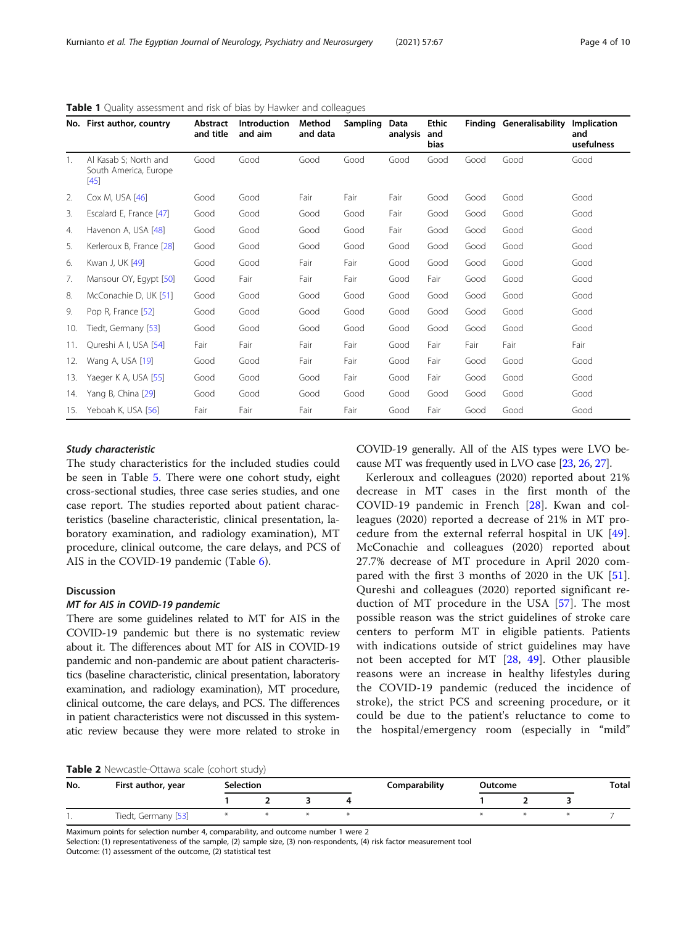|     | No. First author, country                                | Abstract<br>and title | Introduction<br>and aim | Method<br>and data | Sampling | Data<br>analysis | <b>Ethic</b><br>and<br><b>bias</b> |      | <b>Finding Generalisability</b> | Implication<br>and<br>usefulness |
|-----|----------------------------------------------------------|-----------------------|-------------------------|--------------------|----------|------------------|------------------------------------|------|---------------------------------|----------------------------------|
| 1.  | Al Kasab S; North and<br>South America, Europe<br>$[45]$ | Good                  | Good                    | Good               | Good     | Good             | Good                               | Good | Good                            | Good                             |
| 2.  | Cox M, USA [46]                                          | Good                  | Good                    | Fair               | Fair     | Fair             | Good                               | Good | Good                            | Good                             |
| 3.  | Escalard E, France [47]                                  | Good                  | Good                    | Good               | Good     | Fair             | Good                               | Good | Good                            | Good                             |
| 4.  | Havenon A, USA [48]                                      | Good                  | Good                    | Good               | Good     | Fair             | Good                               | Good | Good                            | Good                             |
| 5.  | Kerleroux B, France [28]                                 | Good                  | Good                    | Good               | Good     | Good             | Good                               | Good | Good                            | Good                             |
| 6.  | Kwan J, UK [49]                                          | Good                  | Good                    | Fair               | Fair     | Good             | Good                               | Good | Good                            | Good                             |
| 7.  | Mansour OY, Egypt [50]                                   | Good                  | Fair                    | Fair               | Fair     | Good             | Fair                               | Good | Good                            | Good                             |
| 8.  | McConachie D, UK [51]                                    | Good                  | Good                    | Good               | Good     | Good             | Good                               | Good | Good                            | Good                             |
| 9.  | Pop R, France [52]                                       | Good                  | Good                    | Good               | Good     | Good             | Good                               | Good | Good                            | Good                             |
| 10. | Tiedt, Germany [53]                                      | Good                  | Good                    | Good               | Good     | Good             | Good                               | Good | Good                            | Good                             |
| 11. | Qureshi A I, USA [54]                                    | Fair                  | Fair                    | Fair               | Fair     | Good             | Fair                               | Fair | Fair                            | Fair                             |
| 12. | Wang A, USA [19]                                         | Good                  | Good                    | Fair               | Fair     | Good             | Fair                               | Good | Good                            | Good                             |
| 13. | Yaeger K A, USA [55]                                     | Good                  | Good                    | Good               | Fair     | Good             | Fair                               | Good | Good                            | Good                             |
| 14. | Yang B, China [29]                                       | Good                  | Good                    | Good               | Good     | Good             | Good                               | Good | Good                            | Good                             |
| 15. | Yeboah K, USA [56]                                       | Fair                  | Fair                    | Fair               | Fair     | Good             | Fair                               | Good | Good                            | Good                             |

<span id="page-3-0"></span>Table 1 Quality assessment and risk of bias by Hawker and colleagues

# Study characteristic

The study characteristics for the included studies could be seen in Table [5.](#page-5-0) There were one cohort study, eight cross-sectional studies, three case series studies, and one case report. The studies reported about patient characteristics (baseline characteristic, clinical presentation, laboratory examination, and radiology examination), MT procedure, clinical outcome, the care delays, and PCS of AIS in the COVID-19 pandemic (Table [6](#page-6-0)).

# Discussion

# MT for AIS in COVID-19 pandemic

There are some guidelines related to MT for AIS in the COVID-19 pandemic but there is no systematic review about it. The differences about MT for AIS in COVID-19 pandemic and non-pandemic are about patient characteristics (baseline characteristic, clinical presentation, laboratory examination, and radiology examination), MT procedure, clinical outcome, the care delays, and PCS. The differences in patient characteristics were not discussed in this systematic review because they were more related to stroke in

COVID-19 generally. All of the AIS types were LVO because MT was frequently used in LVO case [[23](#page-8-0), [26](#page-8-0), [27](#page-8-0)].

Kerleroux and colleagues (2020) reported about 21% decrease in MT cases in the first month of the COVID-19 pandemic in French [\[28](#page-8-0)]. Kwan and colleagues (2020) reported a decrease of 21% in MT procedure from the external referral hospital in UK [\[49](#page-8-0)]. McConachie and colleagues (2020) reported about 27.7% decrease of MT procedure in April 2020 compared with the first 3 months of 2020 in the UK [\[51](#page-9-0)]. Qureshi and colleagues (2020) reported significant reduction of MT procedure in the USA [\[57](#page-9-0)]. The most possible reason was the strict guidelines of stroke care centers to perform MT in eligible patients. Patients with indications outside of strict guidelines may have not been accepted for MT [\[28](#page-8-0), [49\]](#page-8-0). Other plausible reasons were an increase in healthy lifestyles during the COVID-19 pandemic (reduced the incidence of stroke), the strict PCS and screening procedure, or it could be due to the patient's reluctance to come to the hospital/emergency room (especially in "mild"

Table 2 Newcastle-Ottawa scale (cohort study)

| No. | First author, year  | <b>Selection</b> |  |  | Comparability | Outcome |  |  | <b>Total</b> |
|-----|---------------------|------------------|--|--|---------------|---------|--|--|--------------|
|     |                     |                  |  |  |               |         |  |  |              |
|     | Tiedt, Germany [53] |                  |  |  |               |         |  |  |              |

Maximum points for selection number 4, comparability, and outcome number 1 were 2

Selection: (1) representativeness of the sample, (2) sample size, (3) non-respondents, (4) risk factor measurement tool Outcome: (1) assessment of the outcome, (2) statistical test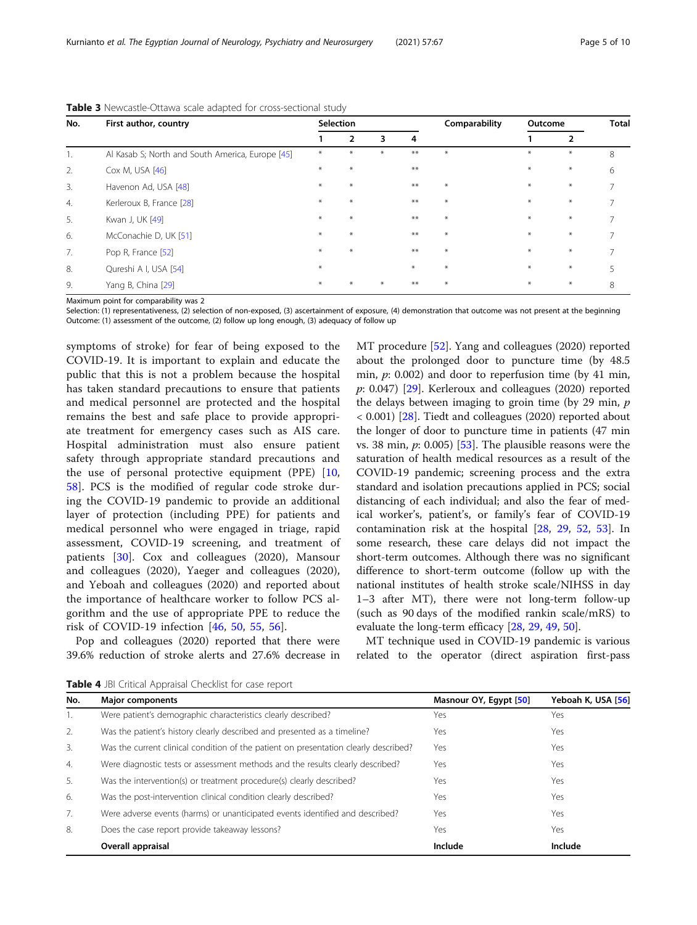<span id="page-4-0"></span>Kurnianto et al. The Egyptian Journal of Neurology, Psychiatry and Neurosurgery (2021) 57:67 Page 5 of 10

| No. | First author, country                            |     | <b>Selection</b> |     |        | Comparability | Outcome |                | <b>Total</b>   |  |
|-----|--------------------------------------------------|-----|------------------|-----|--------|---------------|---------|----------------|----------------|--|
|     |                                                  |     | $\overline{2}$   | 3   | 4      |               |         | $\overline{2}$ |                |  |
|     | Al Kasab S; North and South America, Europe [45] | $*$ | $*$              | $*$ | $**$   | $\ast$        | $*$     | $\ast$         | 8              |  |
| 2.  | Cox M, USA [46]                                  | $*$ | $*$              |     | $***$  |               | $\ast$  | $\ast$         | 6              |  |
| 3.  | Havenon Ad, USA [48]                             | $*$ | $*$              |     | $***$  | $\ast$        | $\ast$  | $\ast$         |                |  |
| 4.  | Kerleroux B, France [28]                         | $*$ | $*$              |     | $***$  | $\ast$        | $\ast$  | $\ast$         | $\overline{7}$ |  |
| 5.  | Kwan J, UK [49]                                  | $*$ | $*$              |     | $**$   | $\ast$        | $\ast$  | $\ast$         |                |  |
| 6.  | McConachie D, UK [51]                            | $*$ | $*$              |     | $***$  | $\ast$        | $\ast$  | $\ast$         |                |  |
| 7.  | Pop R, France [52]                               | $*$ | $*$              |     | $***$  | $\ast$        | $\ast$  | $\ast$         | $\overline{7}$ |  |
| 8.  | Qureshi A I, USA [54]                            | $*$ |                  |     | $\ast$ | $\ast$        | $\ast$  | $\ast$         |                |  |
| 9.  | Yang B, China [29]                               | $*$ | $*$              | $*$ | $**$   | $\ast$        | $\ast$  | $\ast$         | 8              |  |

Table 3 Newcastle-Ottawa scale adapted for cross-sectional study

Maximum point for comparability was 2

Selection: (1) representativeness, (2) selection of non-exposed, (3) ascertainment of exposure, (4) demonstration that outcome was not present at the beginning Outcome: (1) assessment of the outcome, (2) follow up long enough, (3) adequacy of follow up

symptoms of stroke) for fear of being exposed to the COVID-19. It is important to explain and educate the public that this is not a problem because the hospital has taken standard precautions to ensure that patients and medical personnel are protected and the hospital remains the best and safe place to provide appropriate treatment for emergency cases such as AIS care. Hospital administration must also ensure patient safety through appropriate standard precautions and the use of personal protective equipment (PPE) [\[10](#page-8-0), [58\]](#page-9-0). PCS is the modified of regular code stroke during the COVID-19 pandemic to provide an additional layer of protection (including PPE) for patients and medical personnel who were engaged in triage, rapid assessment, COVID-19 screening, and treatment of patients [[30\]](#page-8-0). Cox and colleagues (2020), Mansour and colleagues (2020), Yaeger and colleagues (2020), and Yeboah and colleagues (2020) and reported about the importance of healthcare worker to follow PCS algorithm and the use of appropriate PPE to reduce the risk of COVID-19 infection [\[46](#page-8-0), [50,](#page-8-0) [55,](#page-9-0) [56\]](#page-9-0).

Pop and colleagues (2020) reported that there were 39.6% reduction of stroke alerts and 27.6% decrease in MT procedure [[52\]](#page-9-0). Yang and colleagues (2020) reported about the prolonged door to puncture time (by 48.5 min, p: 0.002) and door to reperfusion time (by 41 min, p: 0.047) [\[29](#page-8-0)]. Kerleroux and colleagues (2020) reported the delays between imaging to groin time (by 29 min,  $p$ ) < 0.001) [[28\]](#page-8-0). Tiedt and colleagues (2020) reported about the longer of door to puncture time in patients (47 min vs. 38 min,  $p$ : 0.005) [[53](#page-9-0)]. The plausible reasons were the saturation of health medical resources as a result of the COVID-19 pandemic; screening process and the extra standard and isolation precautions applied in PCS; social distancing of each individual; and also the fear of medical worker's, patient's, or family's fear of COVID-19 contamination risk at the hospital [\[28](#page-8-0), [29,](#page-8-0) [52,](#page-9-0) [53\]](#page-9-0). In some research, these care delays did not impact the short-term outcomes. Although there was no significant difference to short-term outcome (follow up with the national institutes of health stroke scale/NIHSS in day 1–3 after MT), there were not long-term follow-up (such as 90 days of the modified rankin scale/mRS) to evaluate the long-term efficacy [[28,](#page-8-0) [29](#page-8-0), [49](#page-8-0), [50](#page-8-0)].

MT technique used in COVID-19 pandemic is various related to the operator (direct aspiration first-pass

| No.              | <b>Major components</b>                                                              | Masnour OY, Egypt [50] | Yeboah K, USA [56] |
|------------------|--------------------------------------------------------------------------------------|------------------------|--------------------|
| $\overline{1}$ . | Were patient's demographic characteristics clearly described?                        | Yes                    | Yes                |
| 2.               | Was the patient's history clearly described and presented as a timeline?             | Yes                    | Yes                |
| 3.               | Was the current clinical condition of the patient on presentation clearly described? | Yes                    | Yes                |
| 4.               | Were diagnostic tests or assessment methods and the results clearly described?       | Yes                    | Yes                |
| 5.               | Was the intervention(s) or treatment procedure(s) clearly described?                 | Yes                    | Yes                |
| 6.               | Was the post-intervention clinical condition clearly described?                      | Yes                    | Yes                |
| 7.               | Were adverse events (harms) or unanticipated events identified and described?        | Yes                    | Yes                |
| 8.               | Does the case report provide takeaway lessons?                                       | Yes                    | Yes                |
|                  | Overall appraisal                                                                    | Include                | Include            |

Table 4 JBI Critical Appraisal Checklist for case report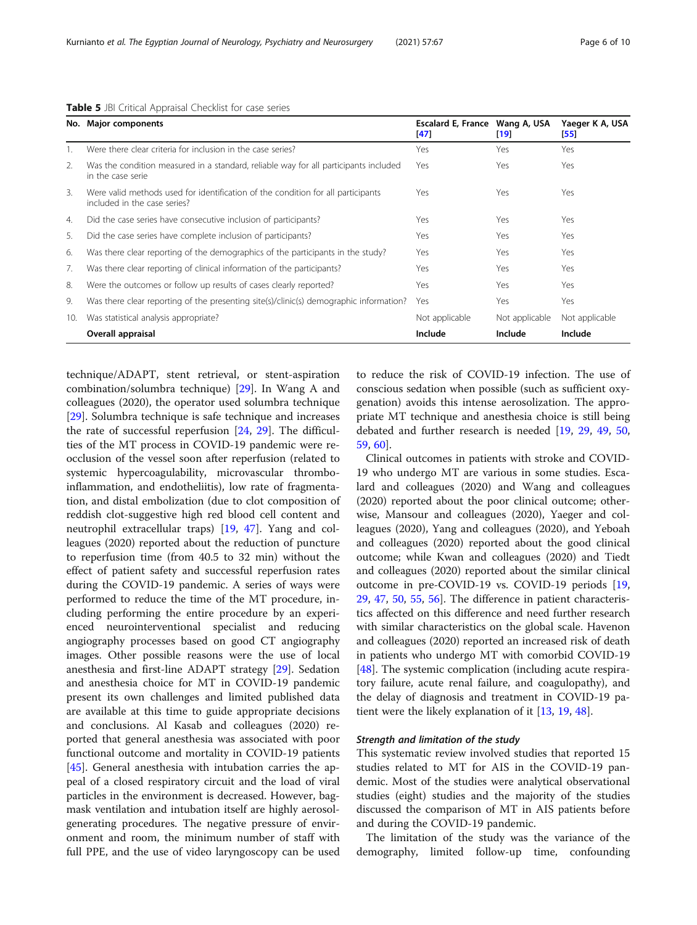<span id="page-5-0"></span>

|  |  |  | Table 5 JBI Critical Appraisal Checklist for case series |  |  |  |  |
|--|--|--|----------------------------------------------------------|--|--|--|--|
|--|--|--|----------------------------------------------------------|--|--|--|--|

|     | No. Major components                                                                                             | Escalard E, France Wang A, USA<br>[47] | [19]           | Yaeger K A, USA<br>55 |
|-----|------------------------------------------------------------------------------------------------------------------|----------------------------------------|----------------|-----------------------|
|     | Were there clear criteria for inclusion in the case series?                                                      | Yes                                    | Yes            | Yes                   |
| 2.  | Was the condition measured in a standard, reliable way for all participants included<br>in the case serie        | Yes                                    | Yes            | Yes                   |
| 3.  | Were valid methods used for identification of the condition for all participants<br>included in the case series? | Yes                                    | Yes            | Yes                   |
| 4.  | Did the case series have consecutive inclusion of participants?                                                  | Yes                                    | Yes            | Yes                   |
| 5.  | Did the case series have complete inclusion of participants?                                                     | Yes                                    | Yes            | Yes                   |
| 6.  | Was there clear reporting of the demographics of the participants in the study?                                  | Yes                                    | Yes            | Yes                   |
| 7.  | Was there clear reporting of clinical information of the participants?                                           | Yes                                    | Yes            | Yes                   |
| 8.  | Were the outcomes or follow up results of cases clearly reported?                                                | Yes                                    | Yes            | Yes                   |
| 9.  | Was there clear reporting of the presenting site(s)/clinic(s) demographic information?                           | Yes                                    | Yes            | Yes                   |
| 10. | Was statistical analysis appropriate?                                                                            | Not applicable                         | Not applicable | Not applicable        |
|     | Overall appraisal                                                                                                | Include                                | Include        | Include               |

technique/ADAPT, stent retrieval, or stent-aspiration combination/solumbra technique) [\[29](#page-8-0)]. In Wang A and colleagues (2020), the operator used solumbra technique [[29\]](#page-8-0). Solumbra technique is safe technique and increases the rate of successful reperfusion [\[24](#page-8-0), [29](#page-8-0)]. The difficulties of the MT process in COVID-19 pandemic were reocclusion of the vessel soon after reperfusion (related to systemic hypercoagulability, microvascular thromboinflammation, and endotheliitis), low rate of fragmentation, and distal embolization (due to clot composition of reddish clot-suggestive high red blood cell content and neutrophil extracellular traps) [[19](#page-8-0), [47\]](#page-8-0). Yang and colleagues (2020) reported about the reduction of puncture to reperfusion time (from 40.5 to 32 min) without the effect of patient safety and successful reperfusion rates during the COVID-19 pandemic. A series of ways were performed to reduce the time of the MT procedure, including performing the entire procedure by an experienced neurointerventional specialist and reducing angiography processes based on good CT angiography images. Other possible reasons were the use of local anesthesia and first-line ADAPT strategy [\[29\]](#page-8-0). Sedation and anesthesia choice for MT in COVID-19 pandemic present its own challenges and limited published data are available at this time to guide appropriate decisions and conclusions. Al Kasab and colleagues (2020) reported that general anesthesia was associated with poor functional outcome and mortality in COVID-19 patients [[45\]](#page-8-0). General anesthesia with intubation carries the appeal of a closed respiratory circuit and the load of viral particles in the environment is decreased. However, bagmask ventilation and intubation itself are highly aerosolgenerating procedures. The negative pressure of environment and room, the minimum number of staff with full PPE, and the use of video laryngoscopy can be used

to reduce the risk of COVID-19 infection. The use of conscious sedation when possible (such as sufficient oxygenation) avoids this intense aerosolization. The appropriate MT technique and anesthesia choice is still being debated and further research is needed [\[19,](#page-8-0) [29](#page-8-0), [49](#page-8-0), [50](#page-8-0), [59,](#page-9-0) [60](#page-9-0)].

Clinical outcomes in patients with stroke and COVID-19 who undergo MT are various in some studies. Escalard and colleagues (2020) and Wang and colleagues (2020) reported about the poor clinical outcome; otherwise, Mansour and colleagues (2020), Yaeger and colleagues (2020), Yang and colleagues (2020), and Yeboah and colleagues (2020) reported about the good clinical outcome; while Kwan and colleagues (2020) and Tiedt and colleagues (2020) reported about the similar clinical outcome in pre-COVID-19 vs. COVID-19 periods [[19](#page-8-0), [29,](#page-8-0) [47,](#page-8-0) [50](#page-8-0), [55,](#page-9-0) [56\]](#page-9-0). The difference in patient characteristics affected on this difference and need further research with similar characteristics on the global scale. Havenon and colleagues (2020) reported an increased risk of death in patients who undergo MT with comorbid COVID-19 [[48\]](#page-8-0). The systemic complication (including acute respiratory failure, acute renal failure, and coagulopathy), and the delay of diagnosis and treatment in COVID-19 patient were the likely explanation of it [[13,](#page-8-0) [19,](#page-8-0) [48\]](#page-8-0).

# Strength and limitation of the study

This systematic review involved studies that reported 15 studies related to MT for AIS in the COVID-19 pandemic. Most of the studies were analytical observational studies (eight) studies and the majority of the studies discussed the comparison of MT in AIS patients before and during the COVID-19 pandemic.

The limitation of the study was the variance of the demography, limited follow-up time, confounding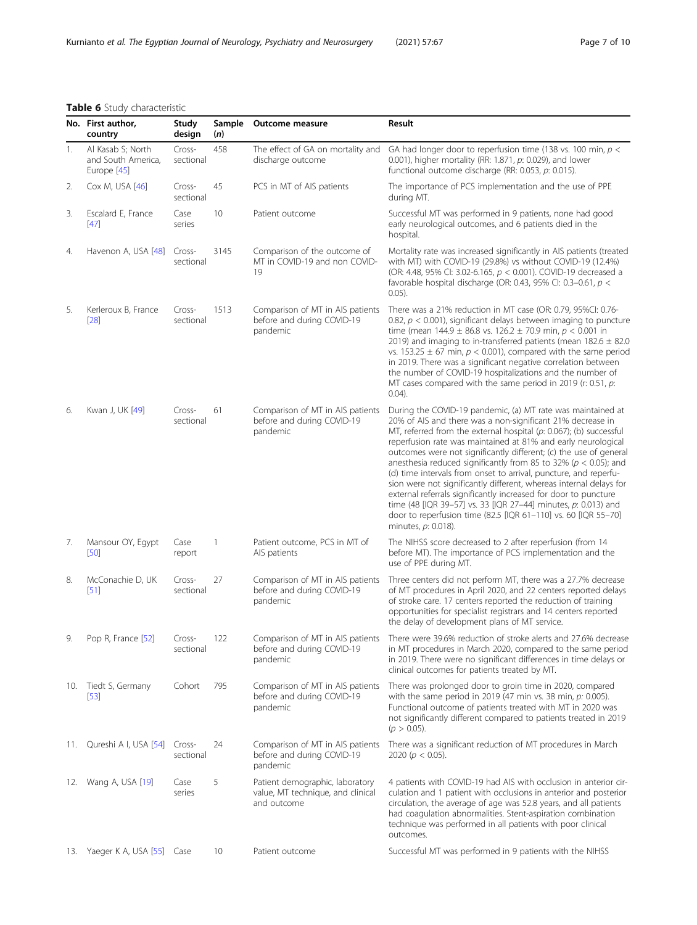# <span id="page-6-0"></span>Table 6 Study characteristic

|     | No. First author,<br>country                           | Study<br>design     | Sample<br>(n) | Outcome measure                                                                     | Result                                                                                                                                                                                                                                                                                                                                                                                                                                                                                                                                                                                                                                                                                                                                                                               |  |  |  |
|-----|--------------------------------------------------------|---------------------|---------------|-------------------------------------------------------------------------------------|--------------------------------------------------------------------------------------------------------------------------------------------------------------------------------------------------------------------------------------------------------------------------------------------------------------------------------------------------------------------------------------------------------------------------------------------------------------------------------------------------------------------------------------------------------------------------------------------------------------------------------------------------------------------------------------------------------------------------------------------------------------------------------------|--|--|--|
| 1.  | Al Kasab S; North<br>and South America,<br>Europe [45] | Cross-<br>sectional | 458           | The effect of GA on mortality and<br>discharge outcome                              | GA had longer door to reperfusion time (138 vs. 100 min, $p <$<br>0.001), higher mortality (RR: 1.871, p: 0.029), and lower<br>functional outcome discharge (RR: 0.053, p: 0.015).                                                                                                                                                                                                                                                                                                                                                                                                                                                                                                                                                                                                   |  |  |  |
| 2.  | Cox M, USA [46]                                        | Cross-<br>sectional | 45            | PCS in MT of AIS patients                                                           | The importance of PCS implementation and the use of PPE<br>during MT.                                                                                                                                                                                                                                                                                                                                                                                                                                                                                                                                                                                                                                                                                                                |  |  |  |
| 3.  | Escalard E, France<br>[47]                             | Case<br>series      | 10            | Patient outcome                                                                     | Successful MT was performed in 9 patients, none had good<br>early neurological outcomes, and 6 patients died in the<br>hospital.                                                                                                                                                                                                                                                                                                                                                                                                                                                                                                                                                                                                                                                     |  |  |  |
| 4.  | Havenon A, USA [48]                                    | Cross-<br>sectional | 3145          | Comparison of the outcome of<br>MT in COVID-19 and non COVID-<br>19                 | Mortality rate was increased significantly in AIS patients (treated<br>with MT) with COVID-19 (29.8%) vs without COVID-19 (12.4%)<br>(OR: 4.48, 95% Cl: 3.02-6.165, $p < 0.001$ ). COVID-19 decreased a<br>favorable hospital discharge (OR: 0.43, 95% CI: 0.3-0.61, $p <$<br>$0.05$ ).                                                                                                                                                                                                                                                                                                                                                                                                                                                                                              |  |  |  |
| 5.  | Kerleroux B, France<br>[28]                            | Cross-<br>sectional | 1513          | Comparison of MT in AIS patients<br>before and during COVID-19<br>pandemic          | There was a 21% reduction in MT case (OR: 0.79, 95%CI: 0.76-<br>0.82, $p < 0.001$ ), significant delays between imaging to puncture<br>time (mean $144.9 \pm 86.8$ vs. $126.2 \pm 70.9$ min, $p < 0.001$ in<br>2019) and imaging to in-transferred patients (mean $182.6 \pm 82.0$<br>vs. 153.25 $\pm$ 67 min, $p < 0.001$ ), compared with the same period<br>in 2019. There was a significant negative correlation between<br>the number of COVID-19 hospitalizations and the number of<br>MT cases compared with the same period in 2019 (r: 0.51, $p$ :<br>$0.04$ ).                                                                                                                                                                                                             |  |  |  |
| 6.  | Kwan J, UK [49]                                        | Cross-<br>sectional | 61            | Comparison of MT in AIS patients<br>before and during COVID-19<br>pandemic          | During the COVID-19 pandemic, (a) MT rate was maintained at<br>20% of AIS and there was a non-significant 21% decrease in<br>MT, referred from the external hospital (p: 0.067); (b) successful<br>reperfusion rate was maintained at 81% and early neurological<br>outcomes were not significantly different; (c) the use of general<br>anesthesia reduced significantly from 85 to 32% ( $p < 0.05$ ); and<br>(d) time intervals from onset to arrival, puncture, and reperfu-<br>sion were not significantly different, whereas internal delays for<br>external referrals significantly increased for door to puncture<br>time (48 [IQR 39-57] vs. 33 [IQR 27-44] minutes, p: 0.013) and<br>door to reperfusion time (82.5 [IQR 61-110] vs. 60 [IQR 55-70]<br>minutes, p: 0.018). |  |  |  |
| 7.  | Mansour OY, Egypt<br>$[50]$                            | Case<br>report      | 1             | Patient outcome, PCS in MT of<br>AIS patients                                       | The NIHSS score decreased to 2 after reperfusion (from 14<br>before MT). The importance of PCS implementation and the<br>use of PPE during MT.                                                                                                                                                                                                                                                                                                                                                                                                                                                                                                                                                                                                                                       |  |  |  |
| 8.  | McConachie D, UK<br>[51]                               | Cross-<br>sectional | 27            | Comparison of MT in AIS patients<br>before and during COVID-19<br>pandemic          | Three centers did not perform MT, there was a 27.7% decrease<br>of MT procedures in April 2020, and 22 centers reported delays<br>of stroke care. 17 centers reported the reduction of training<br>opportunities for specialist registrars and 14 centers reported<br>the delay of development plans of MT service.                                                                                                                                                                                                                                                                                                                                                                                                                                                                  |  |  |  |
| 9.  | Pop R, France [52]                                     | Cross-<br>sectional | 122           | Comparison of MT in AIS patients<br>before and during COVID-19<br>pandemic          | There were 39.6% reduction of stroke alerts and 27.6% decrease<br>in MT procedures in March 2020, compared to the same period<br>in 2019. There were no significant differences in time delays or<br>clinical outcomes for patients treated by MT.                                                                                                                                                                                                                                                                                                                                                                                                                                                                                                                                   |  |  |  |
| 10. | Tiedt S, Germany<br>$[53]$                             | Cohort              | 795           | Comparison of MT in AIS patients<br>before and during COVID-19<br>pandemic          | There was prolonged door to groin time in 2020, compared<br>with the same period in 2019 (47 min vs. 38 min, p: 0.005).<br>Functional outcome of patients treated with MT in 2020 was<br>not significantly different compared to patients treated in 2019<br>$(p > 0.05)$ .                                                                                                                                                                                                                                                                                                                                                                                                                                                                                                          |  |  |  |
| 11. | Qureshi A I, USA [54]                                  | Cross-<br>sectional | 24            | Comparison of MT in AIS patients<br>before and during COVID-19<br>pandemic          | There was a significant reduction of MT procedures in March<br>2020 ( $p < 0.05$ ).                                                                                                                                                                                                                                                                                                                                                                                                                                                                                                                                                                                                                                                                                                  |  |  |  |
|     | 12. Wang A, USA [19]                                   | Case<br>series      | 5             | Patient demographic, laboratory<br>value, MT technique, and clinical<br>and outcome | 4 patients with COVID-19 had AIS with occlusion in anterior cir-<br>culation and 1 patient with occlusions in anterior and posterior<br>circulation, the average of age was 52.8 years, and all patients<br>had coagulation abnormalities. Stent-aspiration combination<br>technique was performed in all patients with poor clinical<br>outcomes.                                                                                                                                                                                                                                                                                                                                                                                                                                   |  |  |  |
|     | 13. Yaeger K A, USA [55] Case                          |                     | 10            | Patient outcome                                                                     | Successful MT was performed in 9 patients with the NIHSS                                                                                                                                                                                                                                                                                                                                                                                                                                                                                                                                                                                                                                                                                                                             |  |  |  |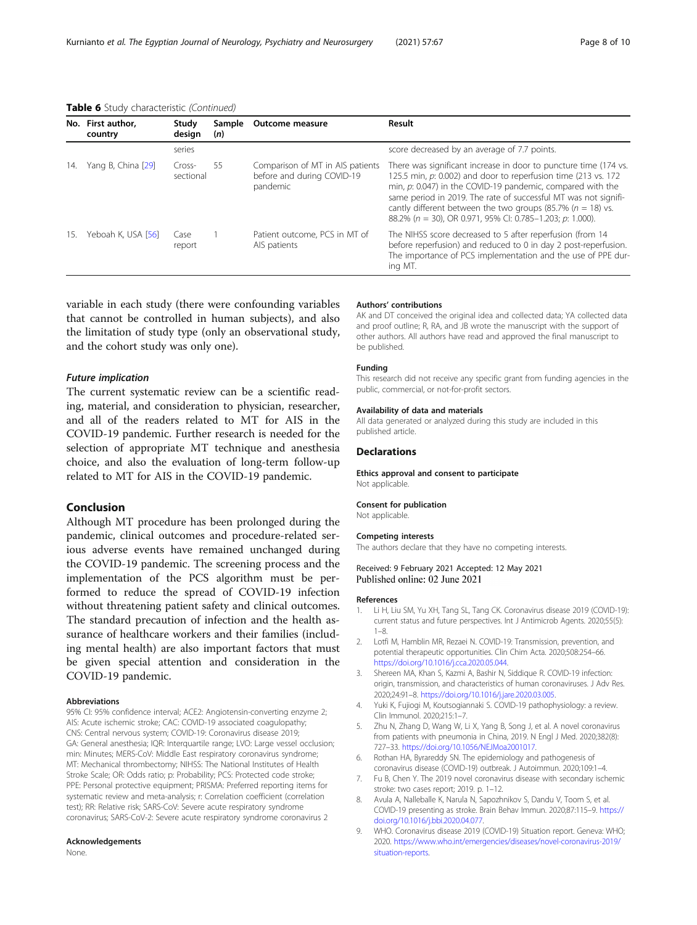<span id="page-7-0"></span>Table 6 Study characteristic (Continued)

|     | No. First author,<br>country | Study<br>design     | Sample<br>(n) | Outcome measure                                                            | Result                                                                                                                                                                                                                                                                                                                                                                                                 |
|-----|------------------------------|---------------------|---------------|----------------------------------------------------------------------------|--------------------------------------------------------------------------------------------------------------------------------------------------------------------------------------------------------------------------------------------------------------------------------------------------------------------------------------------------------------------------------------------------------|
|     |                              | series              |               |                                                                            | score decreased by an average of 7.7 points.                                                                                                                                                                                                                                                                                                                                                           |
| 14. | Yang B, China [29]           | Cross-<br>sectional | 55            | Comparison of MT in AIS patients<br>before and during COVID-19<br>pandemic | There was significant increase in door to puncture time (174 vs.<br>125.5 min, p: 0.002) and door to reperfusion time (213 vs. 172<br>min, $p$ : 0.047) in the COVID-19 pandemic, compared with the<br>same period in 2019. The rate of successful MT was not signifi-<br>cantly different between the two groups (85.7% ( $n = 18$ ) vs.<br>88.2% (n = 30), OR 0.971, 95% CI: 0.785-1.203; p: 1.000). |
| 15. | Yeboah K, USA [56]           | Case<br>report      |               | Patient outcome, PCS in MT of<br>AIS patients                              | The NIHSS score decreased to 5 after reperfusion (from 14<br>before reperfusion) and reduced to 0 in day 2 post-reperfusion.<br>The importance of PCS implementation and the use of PPE dur-<br>ing MT.                                                                                                                                                                                                |

variable in each study (there were confounding variables that cannot be controlled in human subjects), and also the limitation of study type (only an observational study, and the cohort study was only one).

# Future implication

The current systematic review can be a scientific reading, material, and consideration to physician, researcher, and all of the readers related to MT for AIS in the COVID-19 pandemic. Further research is needed for the selection of appropriate MT technique and anesthesia choice, and also the evaluation of long-term follow-up related to MT for AIS in the COVID-19 pandemic.

# Conclusion

Although MT procedure has been prolonged during the pandemic, clinical outcomes and procedure-related serious adverse events have remained unchanged during the COVID-19 pandemic. The screening process and the implementation of the PCS algorithm must be performed to reduce the spread of COVID-19 infection without threatening patient safety and clinical outcomes. The standard precaution of infection and the health assurance of healthcare workers and their families (including mental health) are also important factors that must be given special attention and consideration in the COVID-19 pandemic.

### Abbreviations

95% CI: 95% confidence interval; ACE2: Angiotensin-converting enzyme 2; AIS: Acute ischemic stroke; CAC: COVID-19 associated coagulopathy; CNS: Central nervous system; COVID-19: Coronavirus disease 2019; GA: General anesthesia; IQR: Interquartile range; LVO: Large vessel occlusion; min: Minutes; MERS-CoV: Middle East respiratory coronavirus syndrome; MT: Mechanical thrombectomy; NIHSS: The National Institutes of Health Stroke Scale; OR: Odds ratio; p: Probability; PCS: Protected code stroke; PPE: Personal protective equipment; PRISMA: Preferred reporting items for systematic review and meta-analysis; r: Correlation coefficient (correlation test); RR: Relative risk; SARS-CoV: Severe acute respiratory syndrome coronavirus; SARS-CoV-2: Severe acute respiratory syndrome coronavirus 2

# Acknowledgements

None.

### Authors' contributions

AK and DT conceived the original idea and collected data; YA collected data and proof outline; R, RA, and JB wrote the manuscript with the support of other authors. All authors have read and approved the final manuscript to be published.

### Funding

This research did not receive any specific grant from funding agencies in the public, commercial, or not-for-profit sectors.

### Availability of data and materials

All data generated or analyzed during this study are included in this published article.

# **Declarations**

Ethics approval and consent to participate Not applicable.

### Consent for publication

Not applicable.

### Competing interests

The authors declare that they have no competing interests.

# Received: 9 February 2021 Accepted: 12 May 2021 Published online: 02 June 2021

### References

- 1. Li H, Liu SM, Yu XH, Tang SL, Tang CK. Coronavirus disease 2019 (COVID-19): current status and future perspectives. Int J Antimicrob Agents. 2020;55(5): 1–8.
- 2. Lotfi M, Hamblin MR, Rezaei N. COVID-19: Transmission, prevention, and potential therapeutic opportunities. Clin Chim Acta. 2020;508:254–66. <https://doi.org/10.1016/j.cca.2020.05.044>.
- 3. Shereen MA, Khan S, Kazmi A, Bashir N, Siddique R. COVID-19 infection: origin, transmission, and characteristics of human coronaviruses. J Adv Res. 2020;24:91–8. <https://doi.org/10.1016/j.jare.2020.03.005>.
- 4. Yuki K, Fujiogi M, Koutsogiannaki S. COVID-19 pathophysiology: a review. Clin Immunol. 2020;215:1–7.
- 5. Zhu N, Zhang D, Wang W, Li X, Yang B, Song J, et al. A novel coronavirus from patients with pneumonia in China, 2019. N Engl J Med. 2020;382(8): 727–33. <https://doi.org/10.1056/NEJMoa2001017>.
- Rothan HA, Byrareddy SN. The epidemiology and pathogenesis of coronavirus disease (COVID-19) outbreak. J Autoimmun. 2020;109:1–4.
- 7. Fu B, Chen Y. The 2019 novel coronavirus disease with secondary ischemic stroke: two cases report; 2019. p. 1–12.
- 8. Avula A, Nalleballe K, Narula N, Sapozhnikov S, Dandu V, Toom S, et al. COVID-19 presenting as stroke. Brain Behav Immun. 2020;87:115–9. [https://](https://doi.org/10.1016/j.bbi.2020.04.077) [doi.org/10.1016/j.bbi.2020.04.077](https://doi.org/10.1016/j.bbi.2020.04.077).
- 9. WHO. Coronavirus disease 2019 (COVID-19) Situation report. Geneva: WHO; 2020. [https://www.who.int/emergencies/diseases/novel-coronavirus-2019/](https://www.who.int/emergencies/diseases/novel-coronavirus-2019/situation-reports) [situation-reports](https://www.who.int/emergencies/diseases/novel-coronavirus-2019/situation-reports).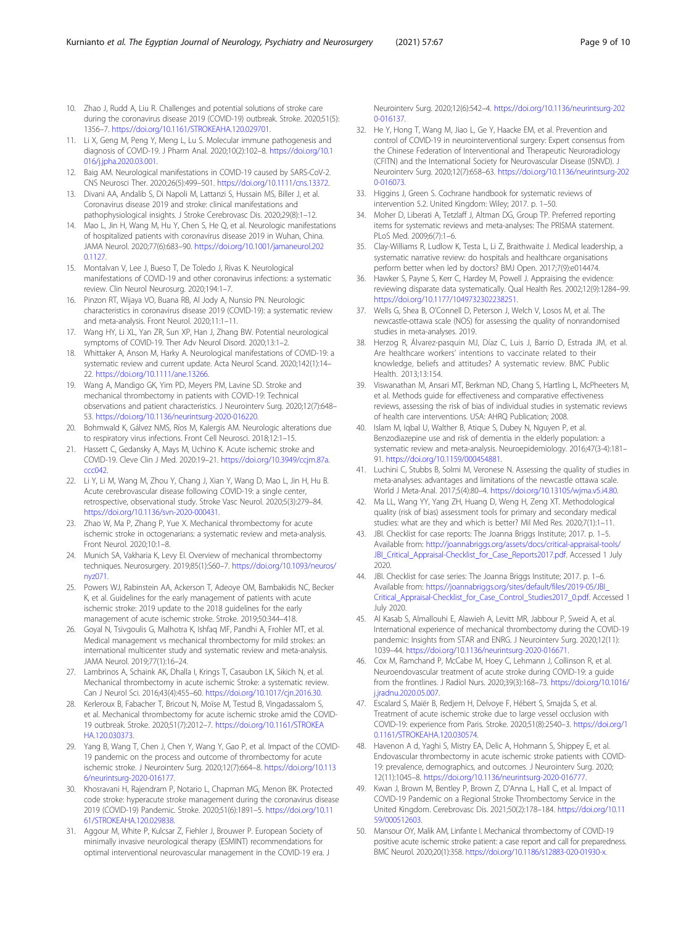- <span id="page-8-0"></span>10. Zhao J, Rudd A, Liu R. Challenges and potential solutions of stroke care during the coronavirus disease 2019 (COVID-19) outbreak. Stroke. 2020;51(5): 1356–7. <https://doi.org/10.1161/STROKEAHA.120.029701>.
- 11. Li X, Geng M, Peng Y, Meng L, Lu S. Molecular immune pathogenesis and diagnosis of COVID-19. J Pharm Anal. 2020;10(2):102–8. [https://doi.org/10.1](https://doi.org/10.1016/j.jpha.2020.03.001) [016/j.jpha.2020.03.001.](https://doi.org/10.1016/j.jpha.2020.03.001)
- 12. Baig AM. Neurological manifestations in COVID-19 caused by SARS-CoV-2. CNS Neurosci Ther. 2020;26(5):499–501. [https://doi.org/10.1111/cns.13372.](https://doi.org/10.1111/cns.13372)
- 13. Divani AA, Andalib S, Di Napoli M, Lattanzi S, Hussain MS, Biller J, et al. Coronavirus disease 2019 and stroke: clinical manifestations and pathophysiological insights. J Stroke Cerebrovasc Dis. 2020;29(8):1–12.
- 14. Mao L, Jin H, Wang M, Hu Y, Chen S, He Q, et al. Neurologic manifestations of hospitalized patients with coronavirus disease 2019 in Wuhan, China. JAMA Neurol. 2020;77(6):683–90. [https://doi.org/10.1001/jamaneurol.202](https://doi.org/10.1001/jamaneurol.2020.1127) [0.1127.](https://doi.org/10.1001/jamaneurol.2020.1127)
- 15. Montalvan V, Lee J, Bueso T, De Toledo J, Rivas K. Neurological manifestations of COVID-19 and other coronavirus infections: a systematic review. Clin Neurol Neurosurg. 2020;194:1–7.
- 16. Pinzon RT, Wijaya VO, Buana RB, Al Jody A, Nunsio PN. Neurologic characteristics in coronavirus disease 2019 (COVID-19): a systematic review and meta-analysis. Front Neurol. 2020;11:1–11.
- 17. Wang HY, Li XL, Yan ZR, Sun XP, Han J, Zhang BW. Potential neurological symptoms of COVID-19. Ther Adv Neurol Disord. 2020;13:1–2.
- 18. Whittaker A, Anson M, Harky A. Neurological manifestations of COVID-19: a systematic review and current update. Acta Neurol Scand. 2020;142(1):14– 22. [https://doi.org/10.1111/ane.13266.](https://doi.org/10.1111/ane.13266)
- 19. Wang A, Mandigo GK, Yim PD, Meyers PM, Lavine SD. Stroke and mechanical thrombectomy in patients with COVID-19: Technical observations and patient characteristics. J Neurointerv Surg. 2020;12(7):648– 53. [https://doi.org/10.1136/neurintsurg-2020-016220.](https://doi.org/10.1136/neurintsurg-2020-016220)
- 20. Bohmwald K, Gálvez NMS, Ríos M, Kalergis AM. Neurologic alterations due to respiratory virus infections. Front Cell Neurosci. 2018;12:1–15.
- 21. Hassett C, Gedansky A, Mays M, Uchino K. Acute ischemic stroke and COVID-19. Cleve Clin J Med. 2020:19–21. [https://doi.org/10.3949/ccjm.87a.](https://doi.org/10.3949/ccjm.87a.ccc042) [ccc042](https://doi.org/10.3949/ccjm.87a.ccc042).
- 22. Li Y, Li M, Wang M, Zhou Y, Chang J, Xian Y, Wang D, Mao L, Jin H, Hu B. Acute cerebrovascular disease following COVID-19: a single center, retrospective, observational study. Stroke Vasc Neurol. 2020;5(3):279–84. [https://doi.org/10.1136/svn-2020-000431.](https://doi.org/10.1136/svn-2020-000431)
- 23. Zhao W, Ma P, Zhang P, Yue X. Mechanical thrombectomy for acute ischemic stroke in octogenarians: a systematic review and meta-analysis. Front Neurol. 2020;10:1–8.
- 24. Munich SA, Vakharia K, Levy EI. Overview of mechanical thrombectomy techniques. Neurosurgery. 2019;85(1):S60–7. [https://doi.org/10.1093/neuros/](https://doi.org/10.1093/neuros/nyz071) [nyz071.](https://doi.org/10.1093/neuros/nyz071)
- 25. Powers WJ, Rabinstein AA, Ackerson T, Adeoye OM, Bambakidis NC, Becker K, et al. Guidelines for the early management of patients with acute ischemic stroke: 2019 update to the 2018 guidelines for the early management of acute ischemic stroke. Stroke. 2019;50:344–418.
- 26. Goyal N, Tsivgoulis G, Malhotra K, Ishfaq MF, Pandhi A, Frohler MT, et al. Medical management vs mechanical thrombectomy for mild strokes: an international multicenter study and systematic review and meta-analysis. JAMA Neurol. 2019;77(1):16–24.
- 27. Lambrinos A, Schaink AK, Dhalla I, Krings T, Casaubon LK, Sikich N, et al. Mechanical thrombectomy in acute ischemic Stroke: a systematic review. Can J Neurol Sci. 2016;43(4):455–60. <https://doi.org/10.1017/cjn.2016.30>.
- 28. Kerleroux B, Fabacher T, Bricout N, Moïse M, Testud B, Vingadassalom S, et al. Mechanical thrombectomy for acute ischemic stroke amid the COVID-19 outbreak. Stroke. 2020;51(7):2012–7. [https://doi.org/10.1161/STROKEA](https://doi.org/10.1161/STROKEAHA.120.030373) [HA.120.030373](https://doi.org/10.1161/STROKEAHA.120.030373).
- 29. Yang B, Wang T, Chen J, Chen Y, Wang Y, Gao P, et al. Impact of the COVID-19 pandemic on the process and outcome of thrombectomy for acute ischemic stroke. J Neurointerv Surg. 2020;12(7):664–8. [https://doi.org/10.113](https://doi.org/10.1136/neurintsurg-2020-016177) [6/neurintsurg-2020-016177](https://doi.org/10.1136/neurintsurg-2020-016177).
- 30. Khosravani H, Rajendram P, Notario L, Chapman MG, Menon BK. Protected code stroke: hyperacute stroke management during the coronavirus disease 2019 (COVID-19) Pandemic. Stroke. 2020;51(6):1891–5. [https://doi.org/10.11](https://doi.org/10.1161/STROKEAHA.120.029838) [61/STROKEAHA.120.029838](https://doi.org/10.1161/STROKEAHA.120.029838).
- 31. Aggour M, White P, Kulcsar Z, Fiehler J, Brouwer P. European Society of minimally invasive neurological therapy (ESMINT) recommendations for optimal interventional neurovascular management in the COVID-19 era. J

Neurointerv Surg. 2020;12(6):542–4. [https://doi.org/10.1136/neurintsurg-202](https://doi.org/10.1136/neurintsurg-2020-016137) [0-016137.](https://doi.org/10.1136/neurintsurg-2020-016137)

- 32. He Y, Hong T, Wang M, Jiao L, Ge Y, Haacke EM, et al. Prevention and control of COVID-19 in neurointerventional surgery: Expert consensus from the Chinese Federation of Interventional and Therapeutic Neuroradiology (CFITN) and the International Society for Neurovascular Disease (ISNVD). J Neurointerv Surg. 2020;12(7):658–63. [https://doi.org/10.1136/neurintsurg-202](https://doi.org/10.1136/neurintsurg-2020-016073) [0-016073.](https://doi.org/10.1136/neurintsurg-2020-016073)
- 33. Higgins J, Green S. Cochrane handbook for systematic reviews of intervention 5.2. United Kingdom: Wiley; 2017. p. 1–50.
- 34. Moher D, Liberati A, Tetzlaff J, Altman DG, Group TP. Preferred reporting items for systematic reviews and meta-analyses: The PRISMA statement. PLoS Med. 2009;6(7):1–6.
- 35. Clay-Williams R, Ludlow K, Testa L, Li Z, Braithwaite J. Medical leadership, a systematic narrative review: do hospitals and healthcare organisations perform better when led by doctors? BMJ Open. 2017;7(9):e014474.
- 36. Hawker S, Payne S, Kerr C, Hardey M, Powell J. Appraising the evidence: reviewing disparate data systematically. Qual Health Res. 2002;12(9):1284–99. [https://doi.org/10.1177/1049732302238251.](https://doi.org/10.1177/1049732302238251)
- 37. Wells G, Shea B, O'Connell D, Peterson J, Welch V, Losos M, et al. The newcastle-ottawa scale (NOS) for assessing the quality of nonrandomised studies in meta-analyses. 2019.
- 38. Herzog R, Álvarez-pasquin MJ, Díaz C, Luis J, Barrio D, Estrada JM, et al. Are healthcare workers' intentions to vaccinate related to their knowledge, beliefs and attitudes? A systematic review. BMC Public Health. 2013;13:154.
- 39. Viswanathan M, Ansari MT, Berkman ND, Chang S, Hartling L, McPheeters M, et al. Methods guide for effectiveness and comparative effectiveness reviews, assessing the risk of bias of individual studies in systematic reviews of health care interventions. USA: AHRQ Publication; 2008.
- 40. Islam M, Iqbal U, Walther B, Atique S, Dubey N, Nguyen P, et al. Benzodiazepine use and risk of dementia in the elderly population: a systematic review and meta-analysis. Neuroepidemiology. 2016;47(3-4):181– 91. [https://doi.org/10.1159/000454881.](https://doi.org/10.1159/000454881)
- 41. Luchini C, Stubbs B, Solmi M, Veronese N. Assessing the quality of studies in meta-analyses: advantages and limitations of the newcastle ottawa scale. World J Meta-Anal. 2017;5(4):80–4. <https://doi.org/10.13105/wjma.v5.i4.80>.
- 42. Ma LL, Wang YY, Yang ZH, Huang D, Weng H, Zeng XT. Methodological quality (risk of bias) assessment tools for primary and secondary medical studies: what are they and which is better? Mil Med Res. 2020;7(1):1–11.
- 43. JBI. Checklist for case reports: The Joanna Briggs Institute; 2017. p. 1–5. Available from: [http://joannabriggs.org/assets/docs/critical-appraisal-tools/](http://joannabriggs.org/assets/docs/critical-appraisal-tools/JBI_Critical_Appraisal-Checklist_for_Case_Reports2017.pdf) [JBI\\_Critical\\_Appraisal-Checklist\\_for\\_Case\\_Reports2017.pdf.](http://joannabriggs.org/assets/docs/critical-appraisal-tools/JBI_Critical_Appraisal-Checklist_for_Case_Reports2017.pdf) Accessed 1 July 2020.
- 44. JBI. Checklist for case series: The Joanna Briggs Institute; 2017. p. 1–6. Available from: [https://joannabriggs.org/sites/default/files/2019-05/JBI\\_](https://joannabriggs.org/sites/default/files/2019-05/JBI_Critical_Appraisal-Checklist_for_Case_Control_Studies2017_0.pdf) [Critical\\_Appraisal-Checklist\\_for\\_Case\\_Control\\_Studies2017\\_0.pdf](https://joannabriggs.org/sites/default/files/2019-05/JBI_Critical_Appraisal-Checklist_for_Case_Control_Studies2017_0.pdf). Accessed 1 July 2020.
- 45. Al Kasab S, Almallouhi E, Alawieh A, Levitt MR, Jabbour P, Sweid A, et al. International experience of mechanical thrombectomy during the COVID-19 pandemic: Insights from STAR and ENRG. J Neurointerv Surg. 2020;12(11): 1039–44. <https://doi.org/10.1136/neurintsurg-2020-016671>.
- 46. Cox M, Ramchand P, McCabe M, Hoey C, Lehmann J, Collinson R, et al. Neuroendovascular treatment of acute stroke during COVID-19: a guide from the frontlines. J Radiol Nurs. 2020;39(3):168–73. [https://doi.org/10.1016/](https://doi.org/10.1016/j.jradnu.2020.05.007) [j.jradnu.2020.05.007.](https://doi.org/10.1016/j.jradnu.2020.05.007)
- 47. Escalard S, Maiër B, Redjem H, Delvoye F, Hébert S, Smajda S, et al. Treatment of acute ischemic stroke due to large vessel occlusion with COVID-19: experience from Paris. Stroke. 2020;51(8):2540–3. [https://doi.org/1](https://doi.org/10.1161/STROKEAHA.120.030574) [0.1161/STROKEAHA.120.030574.](https://doi.org/10.1161/STROKEAHA.120.030574)
- 48. Havenon A d, Yaghi S, Mistry EA, Delic A, Hohmann S, Shippey E, et al. Endovascular thrombectomy in acute ischemic stroke patients with COVID-19: prevalence, demographics, and outcomes. J Neurointerv Surg. 2020; 12(11):1045–8. <https://doi.org/10.1136/neurintsurg-2020-016777>.
- 49. Kwan J, Brown M, Bentley P, Brown Z, D'Anna L, Hall C, et al. Impact of COVID-19 Pandemic on a Regional Stroke Thrombectomy Service in the United Kingdom. Cerebrovasc Dis. 2021;50(2):178–184. [https://doi.org/10.11](https://doi.org/10.1159/000512603) [59/000512603.](https://doi.org/10.1159/000512603)
- 50. Mansour OY, Malik AM, Linfante I. Mechanical thrombectomy of COVID-19 positive acute ischemic stroke patient: a case report and call for preparedness. BMC Neurol. 2020;20(1):358. [https://doi.org/10.1186/s12883-020-01930-x.](https://doi.org/10.1186/s12883-020-01930-x)